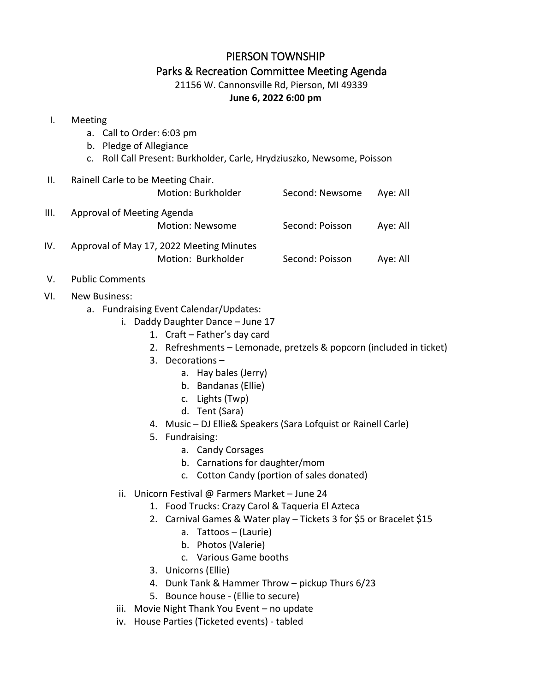## PIERSON TOWNSHIP Parks & Recreation Committee Meeting Agenda

21156 W. Cannonsville Rd, Pierson, MI 49339

## **June 6, 2022 6:00 pm**

## I. Meeting

- a. Call to Order: 6:03 pm
- b. Pledge of Allegiance
- c. Roll Call Present: Burkholder, Carle, Hrydziuszko, Newsome, Poisson

| H.   | Rainell Carle to be Meeting Chair.<br>Motion: Burkholder       | Second: Newsome | Aye: All |
|------|----------------------------------------------------------------|-----------------|----------|
| III. | Approval of Meeting Agenda<br><b>Motion: Newsome</b>           | Second: Poisson | Aye: All |
| IV.  | Approval of May 17, 2022 Meeting Minutes<br>Motion: Burkholder | Second: Poisson | Aye: All |

- V. Public Comments
- VI. New Business:
	- a. Fundraising Event Calendar/Updates:
		- i. Daddy Daughter Dance June 17
			- 1. Craft Father's day card
			- 2. Refreshments Lemonade, pretzels & popcorn (included in ticket)
			- 3. Decorations
				- a. Hay bales (Jerry)
				- b. Bandanas (Ellie)
				- c. Lights (Twp)
				- d. Tent (Sara)
			- 4. Music DJ Ellie& Speakers (Sara Lofquist or Rainell Carle)
			- 5. Fundraising:
				- a. Candy Corsages
				- b. Carnations for daughter/mom
				- c. Cotton Candy (portion of sales donated)
		- ii. Unicorn Festival @ Farmers Market June 24
			- 1. Food Trucks: Crazy Carol & Taqueria El Azteca
			- 2. Carnival Games & Water play Tickets 3 for \$5 or Bracelet \$15
				- a. Tattoos (Laurie)
				- b. Photos (Valerie)
				- c. Various Game booths
			- 3. Unicorns (Ellie)
			- 4. Dunk Tank & Hammer Throw pickup Thurs 6/23
			- 5. Bounce house (Ellie to secure)
		- iii. Movie Night Thank You Event no update
		- iv. House Parties (Ticketed events) tabled